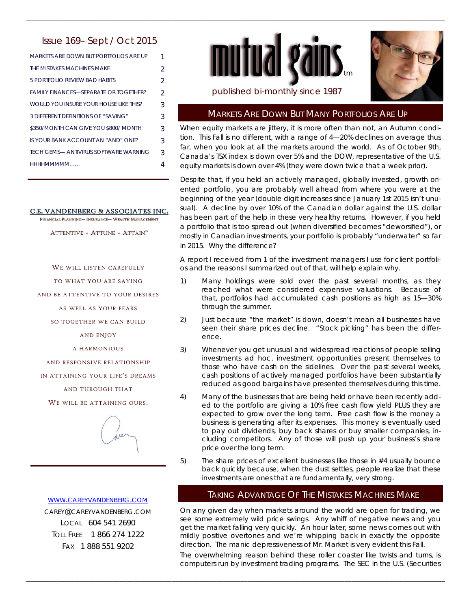# Issue 169– Sept / Oct 2015

| <b>MARKETS ARE DOWN BUT PORTEOLIOS ARE UP</b> | 1              |
|-----------------------------------------------|----------------|
| THE MISTAKES MACHINES MAKE                    | 2              |
| 5 PORTEOLIO REVIEW BAD HABITS                 | $\mathcal{P}$  |
| <b>FAMILY FINANCES—SEPARATE OR TOGETHER?</b>  | $\mathfrak{D}$ |
| WOULD YOU INSURE YOUR HOUSE LIKE THIS?        | 3              |
| 3 DIFFERENT DEFINITIONS OF "SAVING"           | 3              |
| \$350/MONTH CAN GIVE YOU \$800/ MONTH         | 3              |
| IS YOUR BANK ACCOUNT AN "AND" ONE?            | 3              |
| TECH GEMS— ANTIVIRUS SOFTWARE WARNING         | 3              |
| ннннммммм                                     |                |

#### C.E. VANDENBERG & ASSOCIATES INC.

FINANCIAL PLANNING- INSURANCE- WEALTH MANAGEMENT

ATTENTIVE - ATTUNE - ATTAIN"

WE WILL LISTEN CAREFULLY

TO WHAT YOU ARE SAYING

AND BE ATTENTIVE TO YOUR DESIRES

AS WELL AS YOUR FEARS

SO TOGETHER WE CAN BUILD

AND ENJOY

A HARMONIOUS

AND RESPONSIVE RELATIONSHIP

IN ATTAINING YOUR LIFE'S DREAMS

AND THROUGH THAT

WE WILL BE ATTAINING OURS.



WWW.CAREYVANDENBERG.COM CAREY@CAREYVANDENBERG.COM LOCAL 604 541 2690 TOLL FREE 1 866 274 1222 FAX 1 888 551 9202



\_\_\_\_\_\_\_\_\_\_\_\_\_\_\_\_\_\_\_\_\_\_\_\_\_\_\_\_\_\_\_\_\_\_\_\_\_\_\_\_\_\_\_\_\_\_\_\_\_\_\_\_\_\_\_\_\_\_\_\_\_\_\_\_\_\_\_\_\_\_\_\_\_\_\_\_\_\_\_\_\_\_\_\_\_\_\_\_\_\_\_\_\_\_\_\_\_\_\_\_\_\_\_\_\_\_\_\_\_\_\_\_\_\_\_\_\_\_\_\_\_



#### published bi-monthly since 1987

## MARKETS ARE DOWN BUT MANY PORTFOLIOS ARE UP

When equity markets are jittery, it is more often than not, an Autumn condition. This Fall is no different, with a range of 4—20% declines on average thus far, when you look at all the markets around the world. As of October 9th, Canada's TSX index is down over 5% and the DOW, representative of the U.S. equity markets is down over 4% (they were down twice that a week prior).

Despite that, if you held an actively managed, globally invested, growth oriented portfolio, you are probably well ahead from where you were at the beginning of the year (double digit increases since January 1st 2015 isn't unusual). A decline by over 10% of the Canadian dollar against the U.S. dollar has been part of the help in these very healthy returns. However, if you held a portfolio that is too spread out (when diversified becomes "deworsified"), or mostly in Canadian investments, your portfolio is probably "underwater" so far in 2015. Why the difference?

A report I received from 1 of the investment managers I use for client portfolios and the reasons I summarized out of that, will help explain why.

- 1) Many holdings were sold over the past several months, as they reached what were considered expensive valuations. Because of that, portfolios had accumulated cash positions as high as 15—30% through the summer.
- 2) Just because "the market" is down, doesn't mean all businesses have seen their share prices decline. "Stock picking" has been the difference.
- 3) Whenever you get unusual and widespread reactions of people selling investments ad hoc, investment opportunities present themselves to those who have cash on the sidelines. Over the past several weeks, cash positions of actively managed portfolios have been substantially reduced as good bargains have presented themselves during this time.
- 4) Many of the businesses that are being held or have been recently added to the portfolio are giving a 10% free cash flow yield PLUS they are expected to grow over the long term. Free cash flow is the money a business is generating after its expenses. This money is eventually used to pay out dividends, buy back shares or buy smaller companies, including competitors. Any of those will push up your business's share price over the long term.
- 5) The share prices of excellent businesses like those in #4 usually bounce back quickly because, when the dust settles, people realize that these investments are ones that are fundamentally, very strong.

### TAKING ADVANTAGE OF THE MISTAKES MACHINES MAKE

On any given day when markets around the world are open for trading, we see some extremely wild price swings. Any whiff of negative news and you get the market falling very quickly. An hour later, some news comes out with mildly positive overtones and we're whipping back in exactly the opposite direction. The manic depressiveness of Mr. Market is very evident this Fall.

The overwhelming reason behind these roller coaster like twists and turns, is computers run by investment trading programs. The SEC in the U.S. (Securities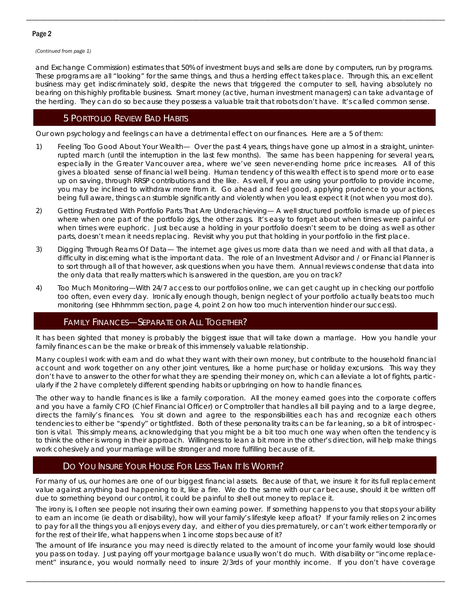### Page 2

*(Continued from page 1)* 

and Exchange Commission) estimates that 50% of investment buys and sells are done by computers, run by programs. These programs are all "looking" for the same things, and thus a herding effect takes place. Through this, an excellent business may get indiscriminately sold, despite the news that triggered the computer to sell, having absolutely no bearing on this highly profitable business. Smart money (active, human investment managers) can take advantage of the herding. They can do so because they possess a valuable trait that robots don't have. It's called common sense.

\_\_\_\_\_\_\_\_\_\_\_\_\_\_\_\_\_\_\_\_\_\_\_\_\_\_\_\_\_\_\_\_\_\_\_\_\_\_\_\_\_\_\_\_\_\_\_\_\_\_\_\_\_\_\_\_\_\_\_\_\_\_\_\_\_\_\_\_\_\_\_\_\_\_\_\_\_\_\_\_\_\_\_\_\_\_\_\_\_\_\_\_\_\_\_\_\_\_\_\_\_\_\_\_\_\_\_\_\_\_\_\_\_\_\_\_\_\_\_\_\_

## 5 PORTFOLIO REVIEW BAD HABITS

Our own psychology and feelings can have a detrimental effect on our finances. Here are a 5 of them:

- 1) Feeling Too Good About Your Wealth— Over the past 4 years, things have gone up almost in a straight, uninterrupted march (until the interruption in the last few months). The same has been happening for several years, especially in the Greater Vancouver area, where we've seen never-ending home price increases. All of this gives a bloated sense of financial well being. Human tendency of this wealth effect is to spend more or to ease up on saving, through RRSP contributions and the like. As well, if you are using your portfolio to provide income, you may be inclined to withdraw more from it. Go ahead and feel good, applying prudence to your actions, being full aware, things can stumble significantly and violently when you least expect it (not when you most do).
- 2) Getting Frustrated With Portfolio Parts That Are Underachieving— A well structured portfolio is made up of pieces where when one part of the portfolio zigs, the other zags. It's easy to forget about when times were painful or when times were euphoric. Just because a holding in your portfolio doesn't seem to be doing as well as other parts, doesn't mean it needs replacing. Revisit why you put that holding in your portfolio in the first place.
- 3) Digging Through Reams Of Data— The internet age gives us more data than we need and with all that data, a difficulty in discerning what is the important data. The role of an Investment Advisor and / or Financial Planner is to sort through all of that however, ask questions when you have them. Annual reviews condense that data into the only data that really matters which is answered in the question, are you on track?
- 4) Too Much Monitoring—With 24/7 access to our portfolios online, we can get caught up in checking our portfolio too often, even every day. Ironically enough though, benign neglect of your portfolio actually beats too much monitoring (see Hhhmmm section, page 4, point 2 on how too much intervention hinder our success).

### FAMILY FINANCES—SEPARATE OR ALL TOGETHER?

It has been sighted that money is probably the biggest issue that will take down a marriage. How you handle your family finances can be the make or break of this immensely valuable relationship.

Many couples I work with earn and do what they want with their own money, but contribute to the household financial account and work together on any other joint ventures, like a home purchase or holiday excursions. This way they don't have to answer to the other for what they are spending their money on, which can alleviate a lot of fights, particularly if the 2 have completely different spending habits or upbringing on how to handle finances.

The other way to handle finances is like a family corporation. All the money earned goes into the corporate coffers and you have a family CFO (Chief Financial Officer) or Comptroller that handles all bill paying and to a large degree, directs the family's finances. You sit down and agree to the responsibilities each has and recognize each others tendencies to either be "spendy" or tightfisted. Both of these personality traits can be far leaning, so a bit of introspection is vital. This simply means, acknowledging that you might be a bit too much one way when often the tendency is to think the other is wrong in their approach. Willingness to lean a bit more in the other's direction, will help make things work cohesively and your marriage will be stronger and more fulfilling because of it.

# DO YOU INSURE YOUR HOUSE FOR LESS THAN IT IS WORTH?

For many of us, our homes are one of our biggest financial assets. Because of that, we insure it for its full replacement value against anything bad happening to it, like a fire. We do the same with our car because, should it be written off due to something beyond our control, it could be painful to shell out money to replace it.

The irony is, I often see people not insuring their own earning power. If something happens to you that stops your ability to earn an income (ie death or disability), how will your family's lifestyle keep afloat? If your family relies on 2 incomes to pay for all the things you all enjoys every day, and either of you dies prematurely, or can't work either temporarily or for the rest of their life, what happens when 1 income stops because of it?

The amount of life insurance you may need is directly related to the amount of income your family would lose should you pass on today. Just paying off your mortgage balance usually won't do much. With disability or "income replacement" insurance, you would normally need to insure 2/3rds of your monthly income. If you don't have coverage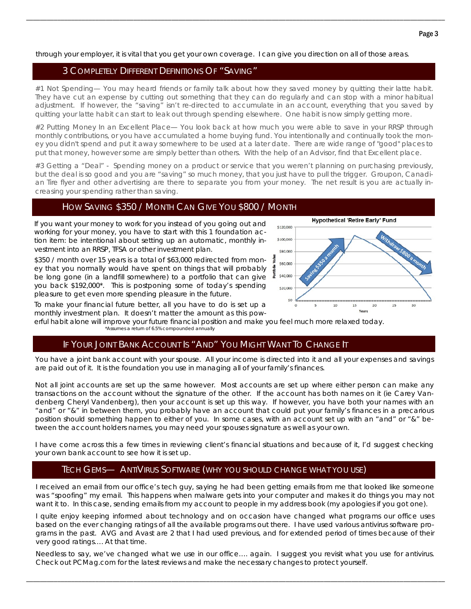through your employer, it is vital that you get your own coverage. I can give you direction on all of those areas.

### 3 COMPLETELY DIFFERENT DEFINITIONS OF "SAVING"

#1 Not Spending— You may heard friends or family talk about how they saved money by quitting their latte habit. They have cut an expense by cutting out something that they can do regularly and can stop with a minor habitual adjustment. If however, the "saving" isn't re-directed to accumulate in an account, everything that you saved by quitting your latte habit can start to leak out through spending elsewhere. One habit is now simply getting more.

\_\_\_\_\_\_\_\_\_\_\_\_\_\_\_\_\_\_\_\_\_\_\_\_\_\_\_\_\_\_\_\_\_\_\_\_\_\_\_\_\_\_\_\_\_\_\_\_\_\_\_\_\_\_\_\_\_\_\_\_\_\_\_\_\_\_\_\_\_\_\_\_\_\_\_\_\_\_\_\_\_\_\_\_\_\_\_\_\_\_\_\_\_\_\_\_\_\_\_\_\_\_\_\_\_\_\_\_\_\_\_\_\_\_\_\_\_\_\_\_\_

#2 Putting Money In an Excellent Place— You look back at how much you were able to save in your RRSP through monthly contributions, or you have accumulated a home buying fund. You intentionally and continually took the money you didn't spend and put it away somewhere to be used at a later date. There are wide range of "good" places to put that money, however some are simply better than others. With the help of an Advisor, find that Excellent place.

#3 Getting a "Deal" - Spending money on a product or service that you weren't planning on purchasing previously, but the deal is so good and you are "saving" so much money, that you just have to pull the trigger. Groupon, Canadian Tire flyer and other advertising are there to separate you from your money. The net result is you are actually increasing your spending rather than saving.

## HOW SAVING \$350 / MONTH CAN GIVE YOU \$800 / MONTH

If you want your money to work for you instead of you going out and working for your money, you have to start with this 1 foundation action item: be intentional about setting up an automatic, monthly investment into an RRSP, TFSA or other investment plan.

\$350 / month over 15 years is a total of \$63,000 redirected from money that you normally would have spent on things that will probably be long gone (in a landfill somewhere) to a portfolio that can give you back \$192,000\*. This is postponing some of today's spending pleasure to get even more spending pleasure in the future.



**Hypothetical 'Retire Early' Fund** 

To make your financial future better, all you have to do is set up a monthly investment plan. It doesn't matter the amount as this pow-

erful habit alone will improve your future financial position and make you feel much more relaxed today.

#### \*Assumes a return of 6.5% compounded annually

# IF YOUR JOINT BANK ACCOUNT IS "AND" YOU MIGHT WANT TO CHANGE IT

You have a joint bank account with your spouse. All your income is directed into it and all your expenses and savings are paid out of it. It is the foundation you use in managing all of your family's finances.

Not all joint accounts are set up the same however. Most accounts are set up where either person can make any transactions on the account without the signature of the other. If the account has both names on it (ie Carey Vandenberg Cheryl Vandenberg), then your account is set up this way. If however, you have both your names with an "and" or "&" in between them, you probably have an account that could put your family's finances in a precarious position should something happen to either of you. In some cases, with an account set up with an "and" or "&" between the account holders names, you may need your spouses signature as well as your own.

I have come across this a few times in reviewing client's financial situations and because of it, I'd suggest checking your own bank account to see how it is set up.

# TECH GEMS— ANTIVIRUS SOFTWARE (WHY YOU SHOULD CHANGE WHAT YOU USE)

I received an email from our office's tech guy, saying he had been getting emails from me that looked like someone was "spoofing" my email. This happens when malware gets into your computer and makes it do things you may not want it to. In this case, sending emails from my account to people in my address book (my apologies if you got one).

I quite enjoy keeping informed about technology and on occasion have changed what programs our office uses based on the ever changing ratings of all the available programs out there. I have used various antivirus software programs in the past. AVG and Avast are 2 that I had used previous, and for extended period of times because of their very good ratings…. At that time.

Needless to say, we've changed what we use in our office…. again. I suggest you revisit what you use for antivirus. Check out PCMag.com for the latest reviews and make the necessary changes to protect yourself.